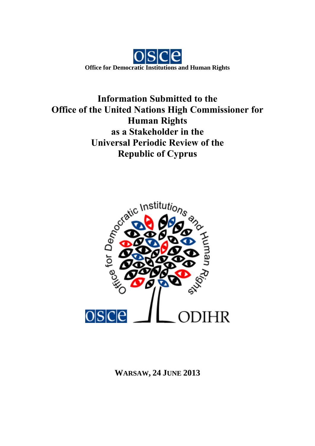

**Information Submitted to the Office of the United Nations High Commissioner for Human Rights as a Stakeholder in the Universal Periodic Review of the Republic of Cyprus**



# **WARSAW, 24 JUNE 2013**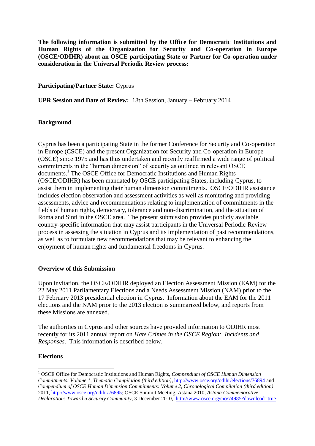**The following information is submitted by the Office for Democratic Institutions and Human Rights of the Organization for Security and Co-operation in Europe (OSCE/ODIHR) about an OSCE participating State or Partner for Co-operation under consideration in the Universal Periodic Review process:**

**Participating/Partner State:** Cyprus

**UPR Session and Date of Review:** 18th Session, January – February 2014

# **Background**

Cyprus has been a participating State in the former Conference for Security and Co-operation in Europe (CSCE) and the present Organization for Security and Co-operation in Europe (OSCE) since 1975 and has thus undertaken and recently reaffirmed a wide range of political commitments in the "human dimension" of security as outlined in relevant OSCE documents.<sup>1</sup> The OSCE Office for Democratic Institutions and Human Rights (OSCE/ODIHR) has been mandated by OSCE participating States, including Cyprus, to assist them in implementing their human dimension commitments. OSCE/ODIHR assistance includes election observation and assessment activities as well as monitoring and providing assessments, advice and recommendations relating to implementation of commitments in the fields of human rights, democracy, tolerance and non-discrimination, and the situation of Roma and Sinti in the OSCE area. The present submission provides publicly available country-specific information that may assist participants in the Universal Periodic Review process in assessing the situation in Cyprus and its implementation of past recommendations, as well as to formulate new recommendations that may be relevant to enhancing the enjoyment of human rights and fundamental freedoms in Cyprus.

#### **Overview of this Submission**

Upon invitation, the OSCE/ODIHR deployed an Election Assessment Mission (EAM) for the 22 May 2011 Parliamentary Elections and a Needs Assessment Mission (NAM) prior to the 17 February 2013 presidential election in Cyprus. Information about the EAM for the 2011 elections and the NAM prior to the 2013 election is summarized below, and reports from these Missions are annexed.

The authorities in Cyprus and other sources have provided information to ODIHR most recently for its 2011 annual report on *Hate Crimes in the OSCE Region: Incidents and Responses*. This information is described below.

# **Elections**

1

<sup>1</sup> OSCE Office for Democratic Institutions and Human Rights, *Compendium of OSCE Human Dimension Commitments: Volume 1, Thematic Compilation (third edition)*[, http://www.osce.org/odihr/elections/76894](http://www.osce.org/odihr/elections/76894) and *Compendium of OSCE Human Dimension Commitments: Volume 2, Chronological Compilation (third edition)*, 2011, [http://www.osce.org/odihr/76895;](http://www.osce.org/odihr/76895) OSCE Summit Meeting, Astana 2010, *Astana Commemorative Declaration: Toward a Security Community*, 3 December 2010, <http://www.osce.org/cio/74985?download=true>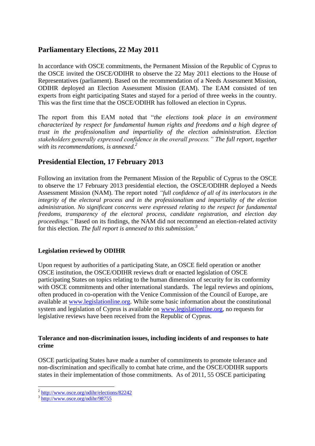# **Parliamentary Elections, 22 May 2011**

In accordance with OSCE commitments, the Permanent Mission of the Republic of Cyprus to the OSCE invited the OSCE/ODIHR to observe the 22 May 2011 elections to the House of Representatives (parliament). Based on the recommendation of a Needs Assessment Mission, ODIHR deployed an Election Assessment Mission (EAM). The EAM consisted of ten experts from eight participating States and stayed for a period of three weeks in the country. This was the first time that the OSCE/ODIHR has followed an election in Cyprus.

The report from this EAM noted that "*the elections took place in an environment characterized by respect for fundamental human rights and freedoms and a high degree of trust in the professionalism and impartiality of the election administration. Election stakeholders generally expressed confidence in the overall process." The full report, together with its recommendations, is annexed.<sup>2</sup>*

# **Presidential Election, 17 February 2013**

Following an invitation from the Permanent Mission of the Republic of Cyprus to the OSCE to observe the 17 February 2013 presidential election, the OSCE/ODIHR deployed a Needs Assessment Mission (NAM). The report noted *"full confidence of all of its interlocutors in the integrity of the electoral process and in the professionalism and impartiality of the election administration. No significant concerns were expressed relating to the respect for fundamental freedoms, transparency of the electoral process, candidate registration, and election day proceedings."* Based on its findings, the NAM did not recommend an election-related activity for this election. *The full report is annexed to this submission.<sup>3</sup>*

# **Legislation reviewed by ODIHR**

Upon request by authorities of a participating State, an OSCE field operation or another OSCE institution, the OSCE/ODIHR reviews draft or enacted legislation of OSCE participating States on topics relating to the human dimension of security for its conformity with OSCE commitments and other international standards. The legal reviews and opinions, often produced in co-operation with the Venice Commission of the Council of Europe, are available at [www.legislationline.org.](http://www.legislationline.org/) While some basic information about the constitutional system and legislation of Cyprus is available on [www.legislationline.org,](http://www.legislationline.org/) no requests for legislative reviews have been received from the Republic of Cyprus.

# **Tolerance and non-discrimination issues, including incidents of and responses to hate crime**

OSCE participating States have made a number of commitments to promote tolerance and non-discrimination and specifically to combat hate crime, and the OSCE/ODIHR supports states in their implementation of those commitments. As of 2011, 55 OSCE participating

<sup>2&</sup>lt;br><http://www.osce.org/odihr/elections/82242>

<sup>3</sup> <http://www.osce.org/odihr/98755>